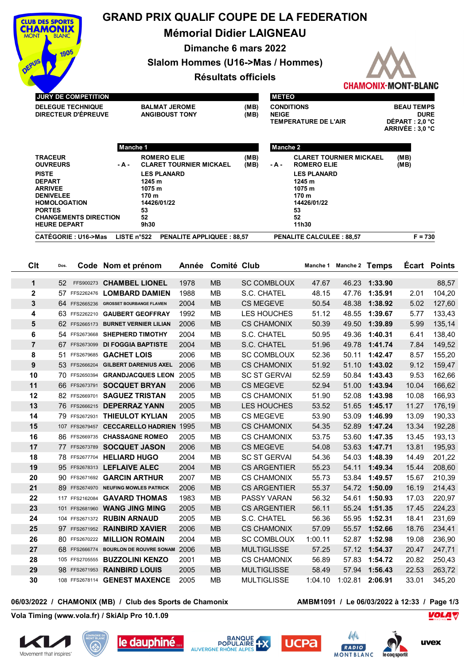

## **GRAND PRIX QUALIF COUPE DE LA FEDERATION**

**Mémorial Didier LAIGNEAU**

**Dimanche 6 mars 2022**

**Slalom Hommes (U16->Mas / Hommes)**

## **Résultats officiels**



|                               | <b>JURY DE COMPETITION</b>    |                                                                             |                                |                                  |                  | <b>METEO</b>                                |                                 |       |                                |                                |                     |  |
|-------------------------------|-------------------------------|-----------------------------------------------------------------------------|--------------------------------|----------------------------------|------------------|---------------------------------------------|---------------------------------|-------|--------------------------------|--------------------------------|---------------------|--|
|                               | <b>DELEGUE TECHNIQUE</b>      | <b>BALMAT JEROME</b>                                                        |                                |                                  | (MB)<br>(MB)     | <b>CONDITIONS</b>                           |                                 |       |                                | <b>BEAU TEMPS</b>              |                     |  |
| <b>DIRECTEUR D'ÉPREUVE</b>    |                               |                                                                             | <b>ANGIBOUST TONY</b>          |                                  |                  | <b>NEIGE</b><br><b>TEMPERATURE DE L'AIR</b> |                                 |       |                                | <b>DURE</b><br>DÉPART : 2,0 °C |                     |  |
|                               |                               |                                                                             |                                |                                  |                  |                                             |                                 |       |                                | ARRIVEE: 3.0 °C                |                     |  |
|                               |                               | Manche 1                                                                    |                                |                                  |                  | <b>Manche 2</b>                             |                                 |       |                                |                                |                     |  |
|                               | <b>TRACEUR</b>                | <b>ROMERO ELIE</b>                                                          |                                |                                  | (MB)             |                                             | <b>CLARET TOURNIER MICKAEL</b>  |       |                                | (MB)                           |                     |  |
| <b>OUVREURS</b>               |                               | - A -                                                                       | <b>CLARET TOURNIER MICKAEL</b> |                                  |                  | - A -                                       | <b>ROMERO ELIE</b>              |       |                                | (MB)                           |                     |  |
| <b>PISTE</b><br><b>DEPART</b> |                               | <b>LES PLANARD</b><br>1245 m                                                |                                |                                  |                  |                                             | <b>LES PLANARD</b><br>1245 m    |       |                                |                                |                     |  |
|                               | <b>ARRIVEE</b>                | 1075 m                                                                      |                                |                                  |                  |                                             | 1075 m                          |       |                                |                                |                     |  |
|                               | <b>DENIVELEE</b>              | 170 m                                                                       |                                |                                  |                  |                                             | 170 m                           |       |                                |                                |                     |  |
| <b>PORTES</b>                 | <b>HOMOLOGATION</b>           | 14426/01/22<br>53                                                           |                                |                                  |                  |                                             | 14426/01/22<br>53               |       |                                |                                |                     |  |
|                               | <b>CHANGEMENTS DIRECTION</b>  | 52                                                                          |                                |                                  |                  |                                             | 52                              |       |                                |                                |                     |  |
|                               | <b>HEURE DEPART</b>           | 9h30                                                                        |                                |                                  |                  |                                             | 11h30                           |       |                                |                                |                     |  |
|                               | <b>CATÉGORIE: U16-&gt;Mas</b> | LISTE n°522                                                                 |                                | <b>PENALITE APPLIQUEE: 88,57</b> |                  |                                             | <b>PENALITE CALCULEE: 88,57</b> |       |                                | $F = 730$                      |                     |  |
|                               |                               |                                                                             |                                |                                  |                  |                                             |                                 |       |                                |                                |                     |  |
| Clt                           | Dos.                          | Code Nom et prénom                                                          | Année                          | <b>Comité Club</b>               |                  |                                             | Manche 1                        |       | Manche 2 Temps                 |                                | <b>Ecart Points</b> |  |
|                               |                               |                                                                             |                                |                                  |                  |                                             |                                 |       |                                |                                |                     |  |
| 1                             | 52                            | FFS900273 CHAMBEL LIONEL                                                    | 1978                           | <b>MB</b>                        |                  | <b>SC COMBLOUX</b>                          | 47.67                           | 46.23 | 1:33.90                        |                                | 88,57               |  |
| $\mathbf 2$                   | 57 FFS2262476                 | <b>LOMBARD DAMIEN</b>                                                       | 1988                           | <b>MB</b>                        | S.C. CHATEL      |                                             | 48.15                           | 47.76 | 1:35.91                        | 2.01                           | 104,20              |  |
| 3                             |                               | 64 FFS2665236 GROSSET BOURBANGE FLAVIEN                                     | 2004                           | <b>MB</b>                        | <b>CS MEGEVE</b> |                                             | 50.54                           | 48.38 | 1:38.92                        | 5.02                           | 127,60              |  |
| 4                             |                               | 63 FFS2262210 GAUBERT GEOFFRAY                                              | 1992                           | <b>MB</b>                        |                  | LES HOUCHES                                 | 51.12                           | 48.55 | 1:39.67                        | 5.77                           | 133,43              |  |
| 5                             | 62 FFS2665173                 | <b>BURNET VERNIER LILIAN</b>                                                | 2006                           | <b>MB</b>                        |                  | <b>CS CHAMONIX</b>                          | 50.39                           | 49.50 | 1:39.89                        | 5.99                           | 135,14              |  |
| 6                             |                               | 54 FFS2673668 SHEPHERD TIMOTHY                                              | 2004                           | <b>MB</b>                        | S.C. CHATEL      |                                             | 50.95                           |       | 49.36 1:40.31                  | 6.41                           | 138,40              |  |
| $\overline{7}$                |                               | 67 FFS2673099 DI FOGGIA BAPTISTE                                            | 2004                           | <b>MB</b>                        | S.C. CHATEL      |                                             | 51.96                           |       | 49.78 1:41.74                  | 7.84                           | 149,52              |  |
| 8                             | 51 FFS2679685                 | <b>GACHET LOIS</b>                                                          | 2006                           | MB                               |                  | <b>SC COMBLOUX</b>                          | 52.36                           | 50.11 | 1:42.47                        | 8.57                           | 155,20              |  |
| 9                             |                               | 53 FFS2666204 GILBERT DARENIUS AXEL                                         | 2006                           | <b>MB</b>                        |                  | <b>CS CHAMONIX</b>                          | 51.92                           |       | 51.10 1:43.02                  | 9.12                           | 159,47              |  |
| 10                            |                               | 70 FFS2650394 GRANDJACQUES LEON                                             | 2005                           | <b>MB</b>                        |                  | <b>SC ST GERVAL</b>                         | 52.59                           | 50.84 | 1:43.43                        | 9.53                           | 162,66              |  |
| 11                            |                               | 66 FFS2673791 SOCQUET BRYAN                                                 | 2006                           | <b>MB</b>                        | <b>CS MEGEVE</b> |                                             | 52.94                           | 51.00 | 1:43.94                        | 10.04                          | 166,62              |  |
| 12                            |                               | 82 FFS2669701 SAGUEZ TRISTAN                                                | 2005                           | <b>MB</b>                        |                  | <b>CS CHAMONIX</b>                          | 51.90                           |       | 52.08 1:43.98                  | 10.08                          | 166,93              |  |
| 13                            |                               | 76 FFS2666215 DEPERRAZ YANN                                                 | 2005                           | <b>MB</b>                        |                  | LES HOUCHES                                 | 53.52                           |       | 51.65 1:45.17                  | 11.27                          | 176,19              |  |
| 14                            | 79 FFS2672931                 | <b>THIEULOT KYLIAN</b>                                                      | 2005                           | MB                               | <b>CS MEGEVE</b> |                                             | 53.90                           | 53.09 | 1:46.99                        | 13.09                          | 190,33              |  |
| 15                            |                               | 107 FFS2679457 CECCARELLO HADRIEN 1995                                      |                                | <b>MB</b>                        |                  | <b>CS CHAMONIX</b>                          | 54.35                           | 52.89 | 1:47.24                        | 13.34                          | 192,28              |  |
| 16                            |                               | 86 FFS2669735 CHASSAGNE ROMEO                                               | 2005                           | <b>MB</b>                        |                  | <b>CS CHAMONIX</b>                          | 53.75                           |       | 53.60 1:47.35                  | 13.45                          | 193,13              |  |
| 17                            |                               | 77 FFS2673789 SOCQUET JASON                                                 | 2006                           | <b>MB</b>                        | <b>CS MEGEVE</b> |                                             | 54.08                           |       | 53.63 1:47.71                  | 13.81                          | 195,93              |  |
| 18                            |                               | 78 FFS2677704 HELIARD HUGO                                                  | 2004                           | MВ                               |                  | <b>SC ST GERVAI</b>                         | 54.36                           |       | 54.03 1:48.39                  | 14.49                          | 201,22              |  |
| 19                            |                               | 95 FFS2678313 LEFLAIVE ALEC                                                 | 2004                           | MB                               |                  | <b>CS ARGENTIER</b>                         | 55.23                           |       | 54.11 1:49.34                  | 15.44                          | 208,60              |  |
| 20                            |                               | 90 FFS2671692 GARCIN ARTHUR                                                 | 2007                           | MB                               |                  | <b>CS CHAMONIX</b>                          | 55.73                           |       | 53.84 1:49.57                  | 15.67                          | 210,39              |  |
| 21<br>22                      |                               | 89 FFS2674970 NEUFING MOWLES PATRICK<br>117 FFS2162084 <b>GAVARD THOMAS</b> | 2006<br>1983                   | MB                               |                  | <b>CS ARGENTIER</b>                         | 55.37                           |       | 54.72 1:50.09<br>54.61 1:50.93 | 16.19                          | 214,43              |  |
| 23                            |                               | 101 FFS2681960 WANG JING MING                                               | 2005                           | MВ<br><b>MB</b>                  |                  | PASSY VARAN                                 | 56.32                           |       |                                | 17.03                          | 220,97              |  |
| 24                            |                               | 104 FFS2671372 RUBIN ARNAUD                                                 | 2005                           | MB                               | S.C. CHATEL      | <b>CS ARGENTIER</b>                         | 56.11<br>56.36                  |       | 55.24 1:51.35<br>55.95 1:52.31 | 17.45<br>18.41                 | 224,23              |  |
| 25                            |                               | 97 FFS2671952 RAINBIRD XAVIER                                               | 2006                           | MB                               |                  | <b>CS CHAMONIX</b>                          | 57.09                           |       | 55.57 1:52.66                  | 18.76                          | 231,69<br>234,41    |  |
| 26                            |                               | 80 FFS2670222 MILLION ROMAIN                                                | 2004                           | MB                               |                  | <b>SC COMBLOUX</b>                          | 1:00.11                         |       | 52.87 1:52.98                  | 19.08                          | 236,90              |  |
| 27                            |                               | 68 FFS2666774 BOURLON DE ROUVRE SONAM 2006                                  |                                | MB                               |                  | <b>MULTIGLISSE</b>                          | 57.25                           |       | 57.12 1:54.37                  | 20.47                          | 247,71              |  |
| 28                            |                               | 105 FFS2705555 <b>BUZZOLINI KENZO</b>                                       | 2001                           | MВ                               |                  | <b>CS CHAMONIX</b>                          | 56.89                           |       | 57.83 1:54.72                  | 20.82                          | 250,43              |  |
| 29                            |                               | 98 FFS2671953 RAINBIRD LOUIS                                                | 2005                           | MB                               |                  | <b>MULTIGLISSE</b>                          | 58.49                           |       | 57.94 1:56.43                  | 22.53                          | 263,72              |  |
|                               |                               |                                                                             |                                |                                  |                  |                                             |                                 |       |                                |                                |                     |  |
| 30                            |                               | 108 FFS2678114 GENEST MAXENCE                                               | 2005                           | MB                               |                  | <b>MULTIGLISSE</b>                          | 1:04.10                         |       | 1:02.81 2:06.91                | 33.01                          | 345,20              |  |
|                               |                               |                                                                             |                                |                                  |                  |                                             |                                 |       |                                |                                |                     |  |

06/03/2022 / CHAMONIX (MB) / Club des Sports de Chamonix **AMBM1091 / Le 06/03/2022 à 12:33 / Page 1/3** 

**Vola Timing (www.vola.fr) / SkiAlp Pro 10.1.09**













**VOLA**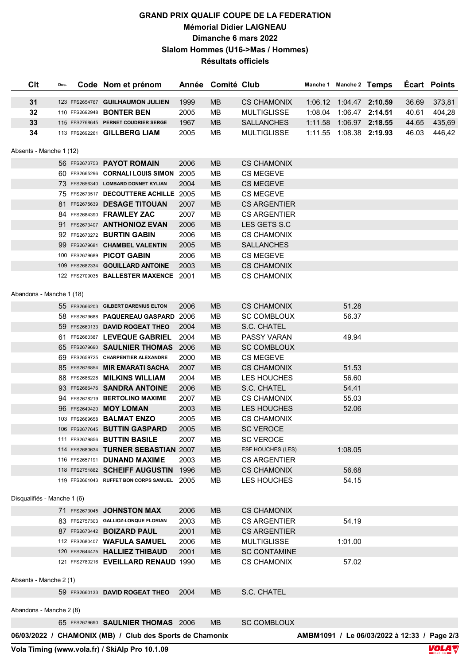## **GRAND PRIX QUALIF COUPE DE LA FEDERATION Mémorial Didier LAIGNEAU Dimanche 6 mars 2022 Slalom Hommes (U16->Mas / Hommes) Résultats officiels**

| Clt                         | Dos. | Code Nom et prénom                                       |      | Année Comité Club |                     | Manche 1 Manche 2 Temps   |                                             |       | Écart Points |
|-----------------------------|------|----------------------------------------------------------|------|-------------------|---------------------|---------------------------|---------------------------------------------|-------|--------------|
| 31                          |      | 123 FFS2654767 GUILHAUMON JULIEN                         | 1999 | <b>MB</b>         | <b>CS CHAMONIX</b>  |                           | 1:06.12 1:04.47 2:10.59                     | 36.69 | 373,81       |
| 32                          |      | 110 FFS2692948 <b>BONTER BEN</b>                         | 2005 | MB                | <b>MULTIGLISSE</b>  | 1:08.04  1:06.47  2:14.51 |                                             | 40.61 | 404,28       |
| 33                          |      | 115 FFS2768645 PERNET COUDRIER SERGE                     | 1967 | <b>MB</b>         | <b>SALLANCHES</b>   |                           | 1:11.58  1:06.97  2:18.55                   | 44.65 | 435,69       |
| 34                          |      | 113 FFS2692261 GILLBERG LIAM                             | 2005 | <b>MB</b>         | <b>MULTIGLISSE</b>  |                           | 1:11.55  1:08.38  2:19.93                   | 46.03 | 446,42       |
|                             |      |                                                          |      |                   |                     |                           |                                             |       |              |
| Absents - Manche 1 (12)     |      |                                                          |      |                   |                     |                           |                                             |       |              |
|                             |      | 56 FFS2673753 PAYOT ROMAIN                               | 2006 | <b>MB</b>         | <b>CS CHAMONIX</b>  |                           |                                             |       |              |
|                             |      | 60 FFS2665296 CORNALI LOUIS SIMON                        | 2005 | <b>MB</b>         | <b>CS MEGEVE</b>    |                           |                                             |       |              |
|                             |      | 73 FFS2656340 LOMBARD DONNET KYLIAN                      | 2004 | <b>MB</b>         | <b>CS MEGEVE</b>    |                           |                                             |       |              |
|                             |      | 75 FFS2673517 DECOUTTERE ACHILLE 2005                    |      | MВ                | <b>CS MEGEVE</b>    |                           |                                             |       |              |
|                             |      | 81 FFS2675639 DESAGE TITOUAN                             | 2007 | <b>MB</b>         | <b>CS ARGENTIER</b> |                           |                                             |       |              |
|                             |      | 84 FFS2684390 FRAWLEY ZAC                                | 2007 | MB                | <b>CS ARGENTIER</b> |                           |                                             |       |              |
|                             |      | 91 FFS2673407 ANTHONIOZ EVAN                             | 2006 | <b>MB</b>         | LES GETS S.C        |                           |                                             |       |              |
|                             |      | 92 FFS2673272 BURTIN GABIN                               | 2006 | MB                | <b>CS CHAMONIX</b>  |                           |                                             |       |              |
|                             |      | 99 FFS2679681 CHAMBEL VALENTIN                           | 2005 | <b>MB</b>         | <b>SALLANCHES</b>   |                           |                                             |       |              |
|                             |      | 100 FFS2679689 PICOT GABIN                               | 2006 | MB                | CS MEGEVE           |                           |                                             |       |              |
|                             |      | 109 FFS2682334 GOUILLARD ANTOINE                         | 2003 | <b>MB</b>         | <b>CS CHAMONIX</b>  |                           |                                             |       |              |
|                             |      | 122 FFS2709035 BALLESTER MAXENCE 2001                    |      | MB                | <b>CS CHAMONIX</b>  |                           |                                             |       |              |
| Abandons - Manche 1 (18)    |      |                                                          |      |                   |                     |                           |                                             |       |              |
|                             |      | 55 FFS2666203 GILBERT DARENIUS ELTON                     | 2006 | <b>MB</b>         | <b>CS CHAMONIX</b>  | 51.28                     |                                             |       |              |
|                             |      | 58 FFS2679688 PAQUEREAU GASPARD 2006                     |      | MB                | <b>SC COMBLOUX</b>  | 56.37                     |                                             |       |              |
|                             |      | 59 FFS2660133 DAVID ROGEAT THEO                          | 2004 | <b>MB</b>         | S.C. CHATEL         |                           |                                             |       |              |
|                             |      | 61 FFS2660387 LEVEQUE GABRIEL                            | 2004 | MВ                | PASSY VARAN         | 49.94                     |                                             |       |              |
|                             |      | 65 FFS2679690 SAULNIER THOMAS                            | 2006 | <b>MB</b>         | <b>SC COMBLOUX</b>  |                           |                                             |       |              |
|                             |      | 69 FFS2659725 CHARPENTIER ALEXANDRE                      | 2000 | MB                | <b>CS MEGEVE</b>    |                           |                                             |       |              |
|                             |      | 85 FFS2676854 MIR EMARATI SACHA                          | 2007 | <b>MB</b>         | <b>CS CHAMONIX</b>  | 51.53                     |                                             |       |              |
|                             |      | 88 FFS2686228 MILKINS WILLIAM                            | 2004 | MB                | LES HOUCHES         | 56.60                     |                                             |       |              |
|                             |      | 93 FFS2686476 SANDRA ANTOINE                             | 2006 | <b>MB</b>         | S.C. CHATEL         | 54.41                     |                                             |       |              |
|                             |      | 94 FFS2678219 BERTOLINO MAXIME                           | 2007 | MB                | <b>CS CHAMONIX</b>  | 55.03                     |                                             |       |              |
|                             |      | 96 FFS2649420 MOY LOMAN                                  | 2003 | <b>MB</b>         | LES HOUCHES         | 52.06                     |                                             |       |              |
|                             |      | 103 FFS2669658 BALMAT ENZO                               | 2005 | <b>MB</b>         | <b>CS CHAMONIX</b>  |                           |                                             |       |              |
|                             |      | 106 FFS2677645 BUTTIN GASPARD                            | 2005 | <b>MB</b>         | <b>SC VEROCE</b>    |                           |                                             |       |              |
|                             |      | 111 FFS2679856 <b>BUTTIN BASILE</b>                      | 2007 | MВ                | <b>SC VEROCE</b>    |                           |                                             |       |              |
|                             |      | 114 FFS2680634 TURNER SEBASTIAN 2007                     |      | <b>MB</b>         | ESF HOUCHES (LES)   | 1:08.05                   |                                             |       |              |
|                             |      | 116 FFS2657191 DUNAND MAXIME                             | 2003 | MB                | <b>CS ARGENTIER</b> |                           |                                             |       |              |
|                             |      | 118 FFS2751882 SCHEIFF AUGUSTIN                          | 1996 | <b>MB</b>         | <b>CS CHAMONIX</b>  | 56.68                     |                                             |       |              |
|                             |      | 119 FFS2661043 RUFFET BON CORPS SAMUEL 2005              |      | MB                | LES HOUCHES         | 54.15                     |                                             |       |              |
| Disqualifiés - Manche 1 (6) |      |                                                          |      |                   |                     |                           |                                             |       |              |
|                             |      | 71 FFS2673045 JOHNSTON MAX                               | 2006 | <b>MB</b>         | <b>CS CHAMONIX</b>  |                           |                                             |       |              |
|                             |      | 83 FFS2757303 GALLIOZ-LONQUE FLORIAN                     | 2003 | MВ                | <b>CS ARGENTIER</b> | 54.19                     |                                             |       |              |
|                             |      | 87 FFS2673442 BOIZARD PAUL                               | 2001 | MB                | <b>CS ARGENTIER</b> |                           |                                             |       |              |
|                             |      | 112 FFS2680407 WAFULA SAMUEL                             | 2006 | MВ                | <b>MULTIGLISSE</b>  | 1:01.00                   |                                             |       |              |
|                             |      | 120 FFS2644475 HALLIEZ THIBAUD                           | 2001 | MB                | <b>SC CONTAMINE</b> |                           |                                             |       |              |
|                             |      | 121 FFS2780216 EVEILLARD RENAUD 1990                     |      | MВ                | <b>CS CHAMONIX</b>  | 57.02                     |                                             |       |              |
|                             |      |                                                          |      |                   |                     |                           |                                             |       |              |
| Absents - Manche 2 (1)      |      |                                                          |      |                   |                     |                           |                                             |       |              |
|                             |      | 59 FFS2660133 DAVID ROGEAT THEO                          | 2004 | <b>MB</b>         | S.C. CHATEL         |                           |                                             |       |              |
| Abandons - Manche 2 (8)     |      |                                                          |      |                   |                     |                           |                                             |       |              |
|                             |      | 65 FFS2679690 SAULNIER THOMAS 2006                       |      | <b>MB</b>         | <b>SC COMBLOUX</b>  |                           |                                             |       |              |
|                             |      | 06/03/2022 / CHAMONIX (MB) / Club des Sports de Chamonix |      |                   |                     |                           | AMBM1091 / Le 06/03/2022 à 12:33 / Page 2/3 |       |              |